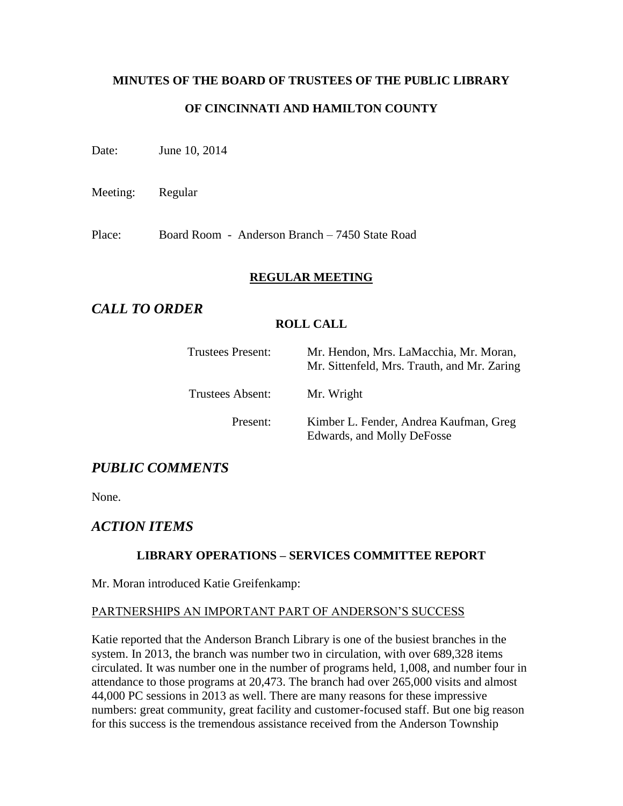# **MINUTES OF THE BOARD OF TRUSTEES OF THE PUBLIC LIBRARY OF CINCINNATI AND HAMILTON COUNTY**

Date: June 10, 2014

Meeting: Regular

Place: Board Room - Anderson Branch – 7450 State Road

#### **REGULAR MEETING**

## *CALL TO ORDER*

### **ROLL CALL**

| Trustees Present: | Mr. Hendon, Mrs. LaMacchia, Mr. Moran,<br>Mr. Sittenfeld, Mrs. Trauth, and Mr. Zaring |
|-------------------|---------------------------------------------------------------------------------------|
| Trustees Absent:  | Mr. Wright                                                                            |
| Present:          | Kimber L. Fender, Andrea Kaufman, Greg<br>Edwards, and Molly DeFosse                  |

## *PUBLIC COMMENTS*

None.

## *ACTION ITEMS*

### **LIBRARY OPERATIONS – SERVICES COMMITTEE REPORT**

Mr. Moran introduced Katie Greifenkamp:

### PARTNERSHIPS AN IMPORTANT PART OF ANDERSON'S SUCCESS

Katie reported that the Anderson Branch Library is one of the busiest branches in the system. In 2013, the branch was number two in circulation, with over 689,328 items circulated. It was number one in the number of programs held, 1,008, and number four in attendance to those programs at 20,473. The branch had over 265,000 visits and almost 44,000 PC sessions in 2013 as well. There are many reasons for these impressive numbers: great community, great facility and customer-focused staff. But one big reason for this success is the tremendous assistance received from the Anderson Township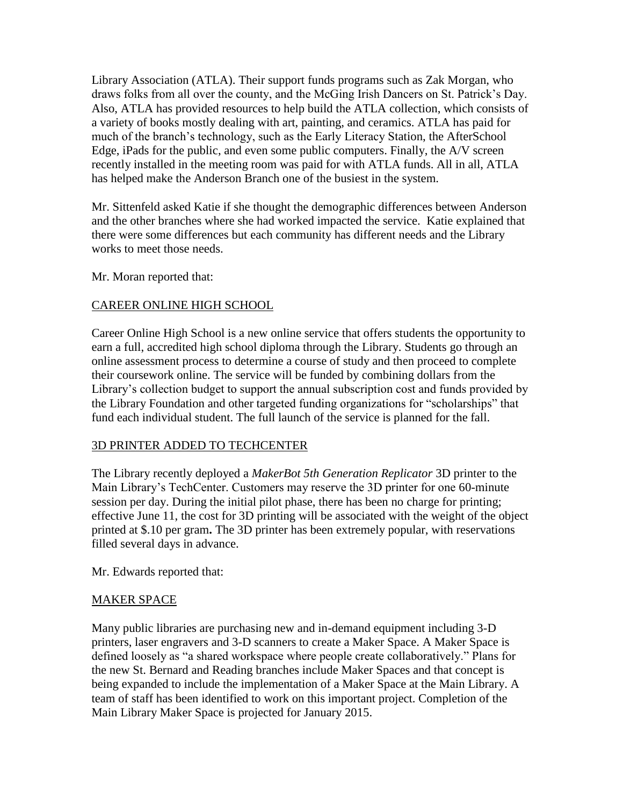Library Association (ATLA). Their support funds programs such as Zak Morgan, who draws folks from all over the county, and the McGing Irish Dancers on St. Patrick's Day. Also, ATLA has provided resources to help build the ATLA collection, which consists of a variety of books mostly dealing with art, painting, and ceramics. ATLA has paid for much of the branch's technology, such as the Early Literacy Station, the AfterSchool Edge, iPads for the public, and even some public computers. Finally, the A/V screen recently installed in the meeting room was paid for with ATLA funds. All in all, ATLA has helped make the Anderson Branch one of the busiest in the system.

Mr. Sittenfeld asked Katie if she thought the demographic differences between Anderson and the other branches where she had worked impacted the service. Katie explained that there were some differences but each community has different needs and the Library works to meet those needs.

Mr. Moran reported that:

#### CAREER ONLINE HIGH SCHOOL

Career Online High School is a new online service that offers students the opportunity to earn a full, accredited high school diploma through the Library. Students go through an online assessment process to determine a course of study and then proceed to complete their coursework online. The service will be funded by combining dollars from the Library's collection budget to support the annual subscription cost and funds provided by the Library Foundation and other targeted funding organizations for "scholarships" that fund each individual student. The full launch of the service is planned for the fall.

#### 3D PRINTER ADDED TO TECHCENTER

The Library recently deployed a *MakerBot 5th Generation Replicator* 3D printer to the Main Library's TechCenter. Customers may reserve the 3D printer for one 60-minute session per day. During the initial pilot phase, there has been no charge for printing; effective June 11, the cost for 3D printing will be associated with the weight of the object printed at \$.10 per gram**.** The 3D printer has been extremely popular, with reservations filled several days in advance.

Mr. Edwards reported that:

### MAKER SPACE

Many public libraries are purchasing new and in-demand equipment including 3-D printers, laser engravers and 3-D scanners to create a Maker Space. A Maker Space is defined loosely as "a shared workspace where people create collaboratively." Plans for the new St. Bernard and Reading branches include Maker Spaces and that concept is being expanded to include the implementation of a Maker Space at the Main Library. A team of staff has been identified to work on this important project. Completion of the Main Library Maker Space is projected for January 2015.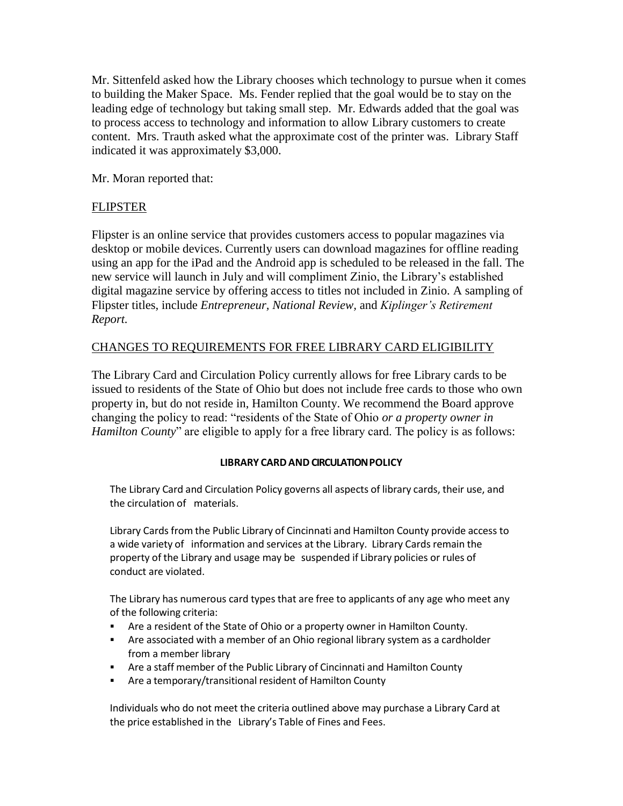Mr. Sittenfeld asked how the Library chooses which technology to pursue when it comes to building the Maker Space. Ms. Fender replied that the goal would be to stay on the leading edge of technology but taking small step. Mr. Edwards added that the goal was to process access to technology and information to allow Library customers to create content. Mrs. Trauth asked what the approximate cost of the printer was. Library Staff indicated it was approximately \$3,000.

Mr. Moran reported that:

### FLIPSTER

Flipster is an online service that provides customers access to popular magazines via desktop or mobile devices. Currently users can download magazines for offline reading using an app for the iPad and the Android app is scheduled to be released in the fall. The new service will launch in July and will compliment Zinio, the Library's established digital magazine service by offering access to titles not included in Zinio. A sampling of Flipster titles, include *Entrepreneur, National Review,* and *Kiplinger's Retirement Report.*

### CHANGES TO REQUIREMENTS FOR FREE LIBRARY CARD ELIGIBILITY

The Library Card and Circulation Policy currently allows for free Library cards to be issued to residents of the State of Ohio but does not include free cards to those who own property in, but do not reside in, Hamilton County. We recommend the Board approve changing the policy to read: "residents of the State of Ohio *or a property owner in Hamilton County*" are eligible to apply for a free library card. The policy is as follows:

#### **LIBRARY CARD AND CIRCULATION POLICY**

The Library Card and Circulation Policy governs all aspects of library cards, their use, and the circulation of materials.

Library Cards from the Public Library of Cincinnati and Hamilton County provide access to a wide variety of information and services at the Library. Library Cards remain the property of the Library and usage may be suspended if Library policies or rules of conduct are violated.

The Library has numerous card types that are free to applicants of any age who meet any of the following criteria:

- Are a resident of the State of Ohio or a property owner in Hamilton County.
- Are associated with a member of an Ohio regional library system as a cardholder from a member library
- Are a staff member of the Public Library of Cincinnati and Hamilton County
- Are a temporary/transitional resident of Hamilton County

Individuals who do not meet the criteria outlined above may purchase a Library Card at the price established in the Library's Table of Fines and Fees.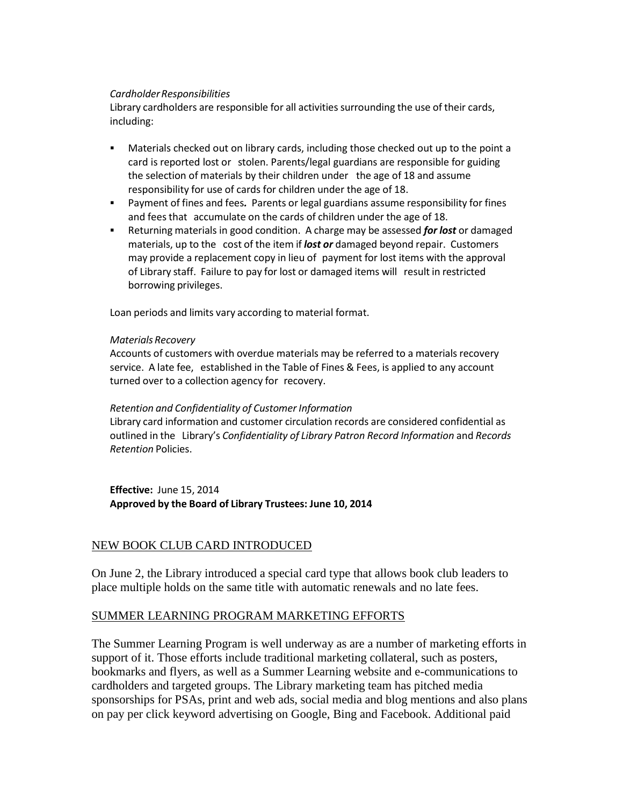#### *CardholderResponsibilities*

Library cardholders are responsible for all activities surrounding the use of their cards, including:

- Materials checked out on library cards, including those checked out up to the point a card is reported lost or stolen. Parents/legal guardians are responsible for guiding the selection of materials by their children under the age of 18 and assume responsibility for use of cards for children under the age of 18.
- Payment of fines and fees*.* Parents or legal guardians assume responsibility for fines and feesthat accumulate on the cards of children under the age of 18.
- Returning materials in good condition. A charge may be assessed *for lost* or damaged materials, up to the cost of the item if *lost or* damaged beyond repair. Customers may provide a replacement copy in lieu of payment for lost items with the approval of Library staff. Failure to pay for lost or damaged items will result in restricted borrowing privileges.

Loan periods and limits vary according to material format.

#### *Materials Recovery*

Accounts of customers with overdue materials may be referred to a materials recovery service. A late fee, established in the Table of Fines & Fees, is applied to any account turned over to a collection agency for recovery.

#### *Retention and Confidentiality of Customer Information*

Library card information and customer circulation records are considered confidential as outlined in the Library's *Confidentiality of Library Patron Record Information* and *Records Retention* Policies.

**Effective:** June 15, 2014 **Approved by the Board of Library Trustees: June 10, 2014**

#### NEW BOOK CLUB CARD INTRODUCED

On June 2, the Library introduced a special card type that allows book club leaders to place multiple holds on the same title with automatic renewals and no late fees.

#### SUMMER LEARNING PROGRAM MARKETING EFFORTS

The Summer Learning Program is well underway as are a number of marketing efforts in support of it. Those efforts include traditional marketing collateral, such as posters, bookmarks and flyers, as well as a Summer Learning website and e-communications to cardholders and targeted groups. The Library marketing team has pitched media sponsorships for PSAs, print and web ads, social media and blog mentions and also plans on pay per click keyword advertising on Google, Bing and Facebook. Additional paid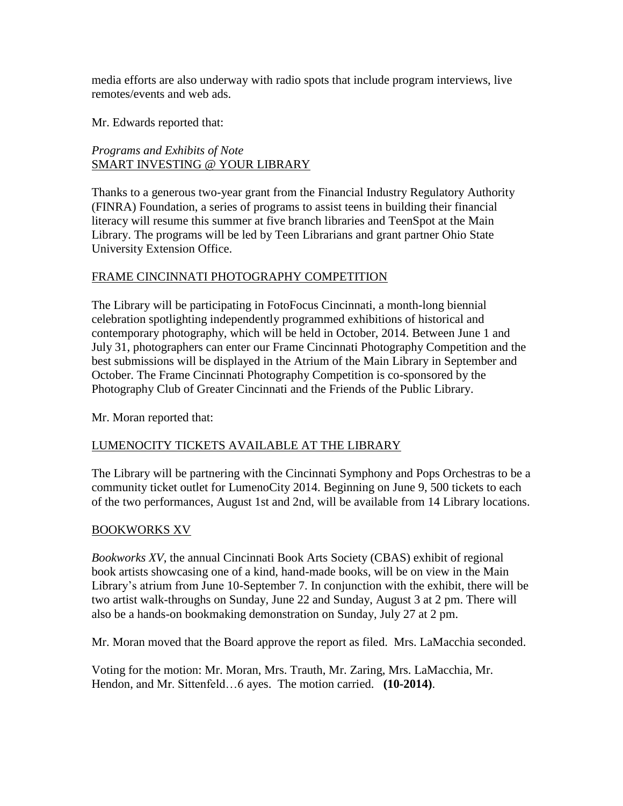media efforts are also underway with radio spots that include program interviews, live remotes/events and web ads.

Mr. Edwards reported that:

*Programs and Exhibits of Note* SMART INVESTING @ YOUR LIBRARY

Thanks to a generous two-year grant from the Financial Industry Regulatory Authority (FINRA) Foundation, a series of programs to assist teens in building their financial literacy will resume this summer at five branch libraries and TeenSpot at the Main Library. The programs will be led by Teen Librarians and grant partner Ohio State University Extension Office.

### FRAME CINCINNATI PHOTOGRAPHY COMPETITION

The Library will be participating in FotoFocus Cincinnati, a month-long biennial celebration spotlighting independently programmed exhibitions of historical and contemporary photography, which will be held in October, 2014. Between June 1 and July 31, photographers can enter our Frame Cincinnati Photography Competition and the best submissions will be displayed in the Atrium of the Main Library in September and October. The Frame Cincinnati Photography Competition is co-sponsored by the Photography Club of Greater Cincinnati and the Friends of the Public Library.

Mr. Moran reported that:

#### LUMENOCITY TICKETS AVAILABLE AT THE LIBRARY

The Library will be partnering with the Cincinnati Symphony and Pops Orchestras to be a community ticket outlet for LumenoCity 2014. Beginning on June 9, 500 tickets to each of the two performances, August 1st and 2nd, will be available from 14 Library locations.

#### BOOKWORKS XV

*Bookworks XV*, the annual Cincinnati Book Arts Society (CBAS) exhibit of regional book artists showcasing one of a kind, hand-made books, will be on view in the Main Library's atrium from June 10-September 7. In conjunction with the exhibit, there will be two artist walk-throughs on Sunday, June 22 and Sunday, August 3 at 2 pm. There will also be a hands-on bookmaking demonstration on Sunday, July 27 at 2 pm.

Mr. Moran moved that the Board approve the report as filed. Mrs. LaMacchia seconded.

Voting for the motion: Mr. Moran, Mrs. Trauth, Mr. Zaring, Mrs. LaMacchia, Mr. Hendon, and Mr. Sittenfeld…6 ayes. The motion carried. **(10-2014)**.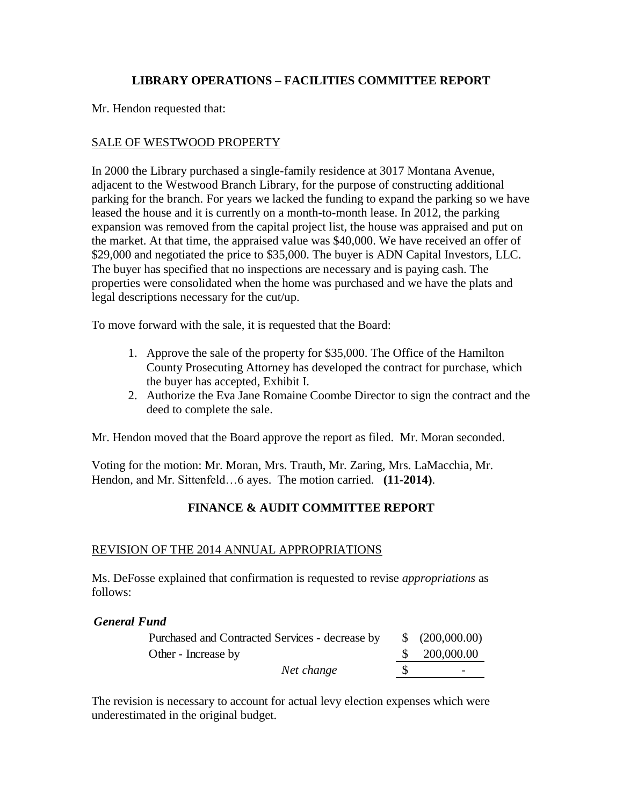### **LIBRARY OPERATIONS – FACILITIES COMMITTEE REPORT**

Mr. Hendon requested that:

### SALE OF WESTWOOD PROPERTY

In 2000 the Library purchased a single-family residence at 3017 Montana Avenue, adjacent to the Westwood Branch Library, for the purpose of constructing additional parking for the branch. For years we lacked the funding to expand the parking so we have leased the house and it is currently on a month-to-month lease. In 2012, the parking expansion was removed from the capital project list, the house was appraised and put on the market. At that time, the appraised value was \$40,000. We have received an offer of \$29,000 and negotiated the price to \$35,000. The buyer is ADN Capital Investors, LLC. The buyer has specified that no inspections are necessary and is paying cash. The properties were consolidated when the home was purchased and we have the plats and legal descriptions necessary for the cut/up.

To move forward with the sale, it is requested that the Board:

- 1. Approve the sale of the property for \$35,000. The Office of the Hamilton County Prosecuting Attorney has developed the contract for purchase, which the buyer has accepted, Exhibit I.
- 2. Authorize the Eva Jane Romaine Coombe Director to sign the contract and the deed to complete the sale.

Mr. Hendon moved that the Board approve the report as filed. Mr. Moran seconded.

Voting for the motion: Mr. Moran, Mrs. Trauth, Mr. Zaring, Mrs. LaMacchia, Mr. Hendon, and Mr. Sittenfeld…6 ayes. The motion carried. **(11-2014)**.

### **FINANCE & AUDIT COMMITTEE REPORT**

#### REVISION OF THE 2014 ANNUAL APPROPRIATIONS

Ms. DeFosse explained that confirmation is requested to revise *appropriations* as follows:

#### *General Fund*

| Purchased and Contracted Services - decrease by | $\frac{\$}{200,000.00}$  |
|-------------------------------------------------|--------------------------|
| Other - Increase by                             | \$ 200,000.00            |
| Net change                                      | $\overline{\phantom{0}}$ |

The revision is necessary to account for actual levy election expenses which were underestimated in the original budget.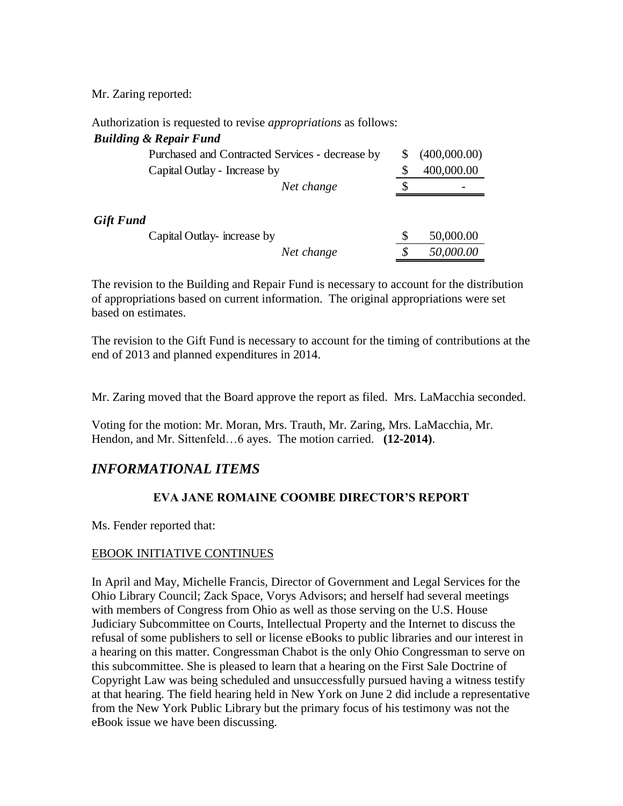Mr. Zaring reported:

*Gift* 

Authorization is requested to revise *appropriations* as follows:

#### *Building & Repair Fund*

| Purchased and Contracted Services - decrease by |    | (400,000.00) |
|-------------------------------------------------|----|--------------|
| Capital Outlay - Increase by                    |    | 400,000.00   |
| Net change                                      | \$ |              |
| Fund<br>Capital Outlay-increase by              | S  | 50,000.00    |
| Net change                                      | S  | 50,000.00    |

The revision to the Building and Repair Fund is necessary to account for the distribution of appropriations based on current information. The original appropriations were set based on estimates.

The revision to the Gift Fund is necessary to account for the timing of contributions at the end of 2013 and planned expenditures in 2014.

Mr. Zaring moved that the Board approve the report as filed. Mrs. LaMacchia seconded.

Voting for the motion: Mr. Moran, Mrs. Trauth, Mr. Zaring, Mrs. LaMacchia, Mr. Hendon, and Mr. Sittenfeld…6 ayes. The motion carried. **(12-2014)**.

## *INFORMATIONAL ITEMS*

### **EVA JANE ROMAINE COOMBE DIRECTOR'S REPORT**

Ms. Fender reported that:

#### EBOOK INITIATIVE CONTINUES

In April and May, Michelle Francis, Director of Government and Legal Services for the Ohio Library Council; Zack Space, Vorys Advisors; and herself had several meetings with members of Congress from Ohio as well as those serving on the U.S. House Judiciary Subcommittee on Courts, Intellectual Property and the Internet to discuss the refusal of some publishers to sell or license eBooks to public libraries and our interest in a hearing on this matter. Congressman Chabot is the only Ohio Congressman to serve on this subcommittee. She is pleased to learn that a hearing on the First Sale Doctrine of Copyright Law was being scheduled and unsuccessfully pursued having a witness testify at that hearing. The field hearing held in New York on June 2 did include a representative from the New York Public Library but the primary focus of his testimony was not the eBook issue we have been discussing.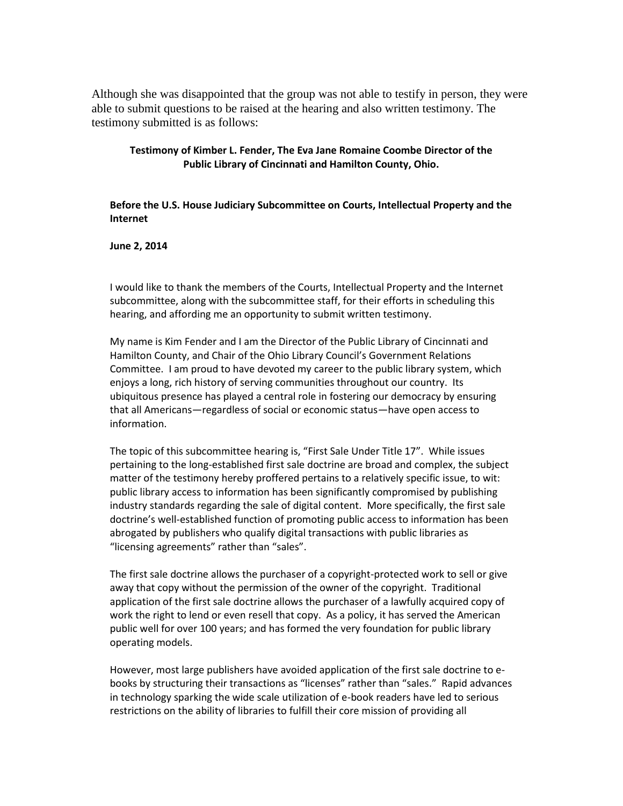Although she was disappointed that the group was not able to testify in person, they were able to submit questions to be raised at the hearing and also written testimony. The testimony submitted is as follows:

#### **Testimony of Kimber L. Fender, The Eva Jane Romaine Coombe Director of the Public Library of Cincinnati and Hamilton County, Ohio.**

**Before the U.S. House Judiciary Subcommittee on Courts, Intellectual Property and the Internet**

**June 2, 2014**

I would like to thank the members of the Courts, Intellectual Property and the Internet subcommittee, along with the subcommittee staff, for their efforts in scheduling this hearing, and affording me an opportunity to submit written testimony.

My name is Kim Fender and I am the Director of the Public Library of Cincinnati and Hamilton County, and Chair of the Ohio Library Council's Government Relations Committee. I am proud to have devoted my career to the public library system, which enjoys a long, rich history of serving communities throughout our country. Its ubiquitous presence has played a central role in fostering our democracy by ensuring that all Americans—regardless of social or economic status—have open access to information.

The topic of this subcommittee hearing is, "First Sale Under Title 17". While issues pertaining to the long-established first sale doctrine are broad and complex, the subject matter of the testimony hereby proffered pertains to a relatively specific issue, to wit: public library access to information has been significantly compromised by publishing industry standards regarding the sale of digital content. More specifically, the first sale doctrine's well-established function of promoting public access to information has been abrogated by publishers who qualify digital transactions with public libraries as "licensing agreements" rather than "sales".

The first sale doctrine allows the purchaser of a copyright-protected work to sell or give away that copy without the permission of the owner of the copyright. Traditional application of the first sale doctrine allows the purchaser of a lawfully acquired copy of work the right to lend or even resell that copy. As a policy, it has served the American public well for over 100 years; and has formed the very foundation for public library operating models.

However, most large publishers have avoided application of the first sale doctrine to ebooks by structuring their transactions as "licenses" rather than "sales." Rapid advances in technology sparking the wide scale utilization of e-book readers have led to serious restrictions on the ability of libraries to fulfill their core mission of providing all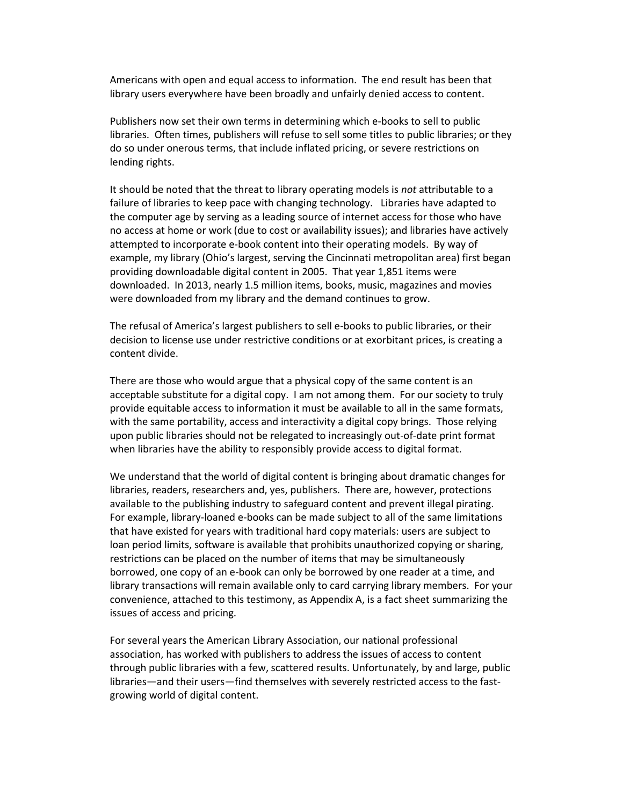Americans with open and equal access to information. The end result has been that library users everywhere have been broadly and unfairly denied access to content.

Publishers now set their own terms in determining which e-books to sell to public libraries. Often times, publishers will refuse to sell some titles to public libraries; or they do so under onerous terms, that include inflated pricing, or severe restrictions on lending rights.

It should be noted that the threat to library operating models is *not* attributable to a failure of libraries to keep pace with changing technology. Libraries have adapted to the computer age by serving as a leading source of internet access for those who have no access at home or work (due to cost or availability issues); and libraries have actively attempted to incorporate e-book content into their operating models. By way of example, my library (Ohio's largest, serving the Cincinnati metropolitan area) first began providing downloadable digital content in 2005. That year 1,851 items were downloaded. In 2013, nearly 1.5 million items, books, music, magazines and movies were downloaded from my library and the demand continues to grow.

The refusal of America's largest publishers to sell e-books to public libraries, or their decision to license use under restrictive conditions or at exorbitant prices, is creating a content divide.

There are those who would argue that a physical copy of the same content is an acceptable substitute for a digital copy. I am not among them. For our society to truly provide equitable access to information it must be available to all in the same formats, with the same portability, access and interactivity a digital copy brings. Those relying upon public libraries should not be relegated to increasingly out-of-date print format when libraries have the ability to responsibly provide access to digital format.

We understand that the world of digital content is bringing about dramatic changes for libraries, readers, researchers and, yes, publishers. There are, however, protections available to the publishing industry to safeguard content and prevent illegal pirating. For example, library-loaned e-books can be made subject to all of the same limitations that have existed for years with traditional hard copy materials: users are subject to loan period limits, software is available that prohibits unauthorized copying or sharing, restrictions can be placed on the number of items that may be simultaneously borrowed, one copy of an e-book can only be borrowed by one reader at a time, and library transactions will remain available only to card carrying library members. For your convenience, attached to this testimony, as Appendix A, is a fact sheet summarizing the issues of access and pricing.

For several years the American Library Association, our national professional association, has worked with publishers to address the issues of access to content through public libraries with a few, scattered results. Unfortunately, by and large, public libraries—and their users—find themselves with severely restricted access to the fastgrowing world of digital content.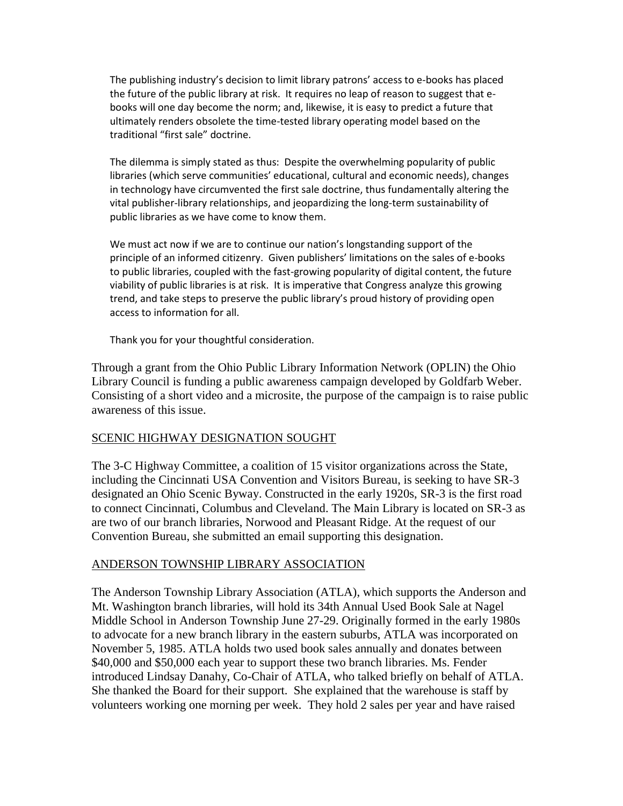The publishing industry's decision to limit library patrons' access to e-books has placed the future of the public library at risk. It requires no leap of reason to suggest that ebooks will one day become the norm; and, likewise, it is easy to predict a future that ultimately renders obsolete the time-tested library operating model based on the traditional "first sale" doctrine.

The dilemma is simply stated as thus: Despite the overwhelming popularity of public libraries (which serve communities' educational, cultural and economic needs), changes in technology have circumvented the first sale doctrine, thus fundamentally altering the vital publisher-library relationships, and jeopardizing the long-term sustainability of public libraries as we have come to know them.

We must act now if we are to continue our nation's longstanding support of the principle of an informed citizenry. Given publishers' limitations on the sales of e-books to public libraries, coupled with the fast-growing popularity of digital content, the future viability of public libraries is at risk. It is imperative that Congress analyze this growing trend, and take steps to preserve the public library's proud history of providing open access to information for all.

Thank you for your thoughtful consideration.

Through a grant from the Ohio Public Library Information Network (OPLIN) the Ohio Library Council is funding a public awareness campaign developed by Goldfarb Weber. Consisting of a short video and a microsite, the purpose of the campaign is to raise public awareness of this issue.

#### SCENIC HIGHWAY DESIGNATION SOUGHT

The 3-C Highway Committee, a coalition of 15 visitor organizations across the State, including the Cincinnati USA Convention and Visitors Bureau, is seeking to have SR-3 designated an Ohio Scenic Byway. Constructed in the early 1920s, SR-3 is the first road to connect Cincinnati, Columbus and Cleveland. The Main Library is located on SR-3 as are two of our branch libraries, Norwood and Pleasant Ridge. At the request of our Convention Bureau, she submitted an email supporting this designation.

#### ANDERSON TOWNSHIP LIBRARY ASSOCIATION

The Anderson Township Library Association (ATLA), which supports the Anderson and Mt. Washington branch libraries, will hold its 34th Annual Used Book Sale at Nagel Middle School in Anderson Township June 27-29. Originally formed in the early 1980s to advocate for a new branch library in the eastern suburbs, ATLA was incorporated on November 5, 1985. ATLA holds two used book sales annually and donates between \$40,000 and \$50,000 each year to support these two branch libraries. Ms. Fender introduced Lindsay Danahy, Co-Chair of ATLA, who talked briefly on behalf of ATLA. She thanked the Board for their support. She explained that the warehouse is staff by volunteers working one morning per week. They hold 2 sales per year and have raised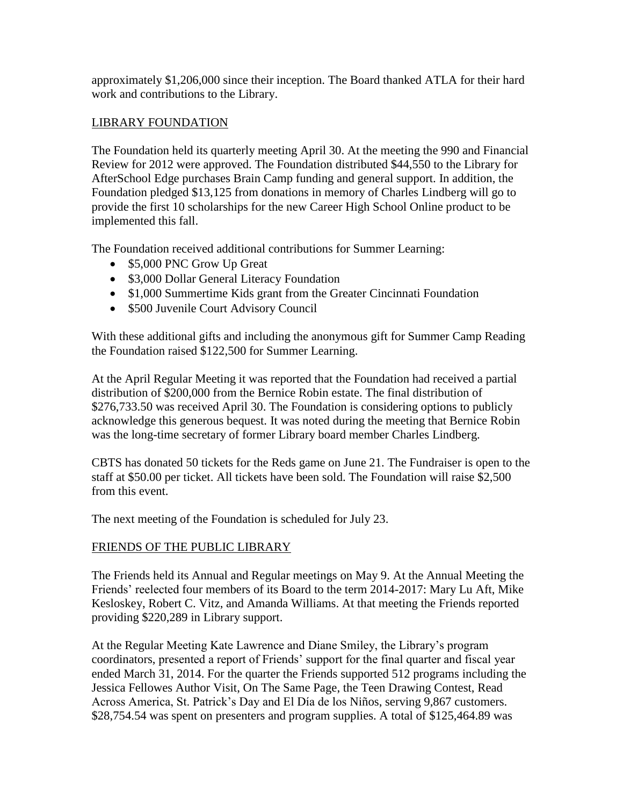approximately \$1,206,000 since their inception. The Board thanked ATLA for their hard work and contributions to the Library.

#### LIBRARY FOUNDATION

The Foundation held its quarterly meeting April 30. At the meeting the 990 and Financial Review for 2012 were approved. The Foundation distributed \$44,550 to the Library for AfterSchool Edge purchases Brain Camp funding and general support. In addition, the Foundation pledged \$13,125 from donations in memory of Charles Lindberg will go to provide the first 10 scholarships for the new Career High School Online product to be implemented this fall.

The Foundation received additional contributions for Summer Learning:

- \$5,000 PNC Grow Up Great
- \$3,000 Dollar General Literacy Foundation
- \$1,000 Summertime Kids grant from the Greater Cincinnati Foundation
- \$500 Juvenile Court Advisory Council

With these additional gifts and including the anonymous gift for Summer Camp Reading the Foundation raised \$122,500 for Summer Learning.

At the April Regular Meeting it was reported that the Foundation had received a partial distribution of \$200,000 from the Bernice Robin estate. The final distribution of \$276,733.50 was received April 30. The Foundation is considering options to publicly acknowledge this generous bequest. It was noted during the meeting that Bernice Robin was the long-time secretary of former Library board member Charles Lindberg.

CBTS has donated 50 tickets for the Reds game on June 21. The Fundraiser is open to the staff at \$50.00 per ticket. All tickets have been sold. The Foundation will raise \$2,500 from this event.

The next meeting of the Foundation is scheduled for July 23.

### FRIENDS OF THE PUBLIC LIBRARY

The Friends held its Annual and Regular meetings on May 9. At the Annual Meeting the Friends' reelected four members of its Board to the term 2014-2017: Mary Lu Aft, Mike Kesloskey, Robert C. Vitz, and Amanda Williams. At that meeting the Friends reported providing \$220,289 in Library support.

At the Regular Meeting Kate Lawrence and Diane Smiley, the Library's program coordinators, presented a report of Friends' support for the final quarter and fiscal year ended March 31, 2014. For the quarter the Friends supported 512 programs including the Jessica Fellowes Author Visit, On The Same Page, the Teen Drawing Contest, Read Across America, St. Patrick's Day and El Día de los Niños, serving 9,867 customers. \$28,754.54 was spent on presenters and program supplies. A total of \$125,464.89 was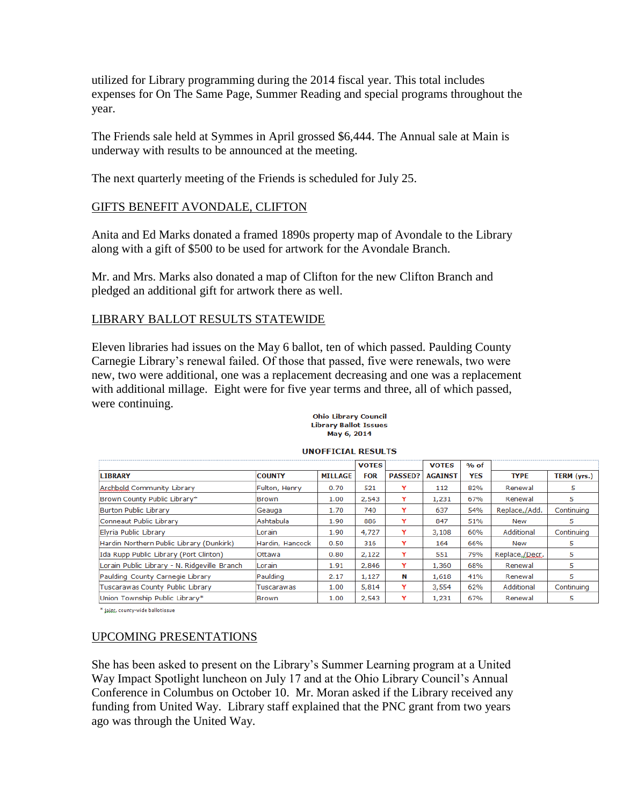utilized for Library programming during the 2014 fiscal year. This total includes expenses for On The Same Page, Summer Reading and special programs throughout the year.

The Friends sale held at Symmes in April grossed \$6,444. The Annual sale at Main is underway with results to be announced at the meeting.

The next quarterly meeting of the Friends is scheduled for July 25.

#### GIFTS BENEFIT AVONDALE, CLIFTON

Anita and Ed Marks donated a framed 1890s property map of Avondale to the Library along with a gift of \$500 to be used for artwork for the Avondale Branch.

Mr. and Mrs. Marks also donated a map of Clifton for the new Clifton Branch and pledged an additional gift for artwork there as well.

#### LIBRARY BALLOT RESULTS STATEWIDE

Eleven libraries had issues on the May 6 ballot, ten of which passed. Paulding County Carnegie Library's renewal failed. Of those that passed, five were renewals, two were new, two were additional, one was a replacement decreasing and one was a replacement with additional millage. Eight were for five year terms and three, all of which passed, were continuing.

#### **Ohio Library Council Library Ballot Issues** May 6, 2014

|                                              |                 |                | <b>VOTES</b> |                | <b>VOTES</b>   | $%$ of |                |             |
|----------------------------------------------|-----------------|----------------|--------------|----------------|----------------|--------|----------------|-------------|
| <b>LIBRARY</b>                               | <b>COUNTY</b>   | <b>MILLAGE</b> | <b>FOR</b>   | <b>PASSED?</b> | <b>AGAINST</b> | YES    | <b>TYPE</b>    | TERM (yrs.) |
| Archbold Community Library                   | Fulton, Henry   | 0.70           | 521          | Y              | 112            | 82%    | Renewal        | 5           |
| Brown County Public Library*                 | IBrown          | 1.00           | 2,543        | Y              | 1,231          | 67%    | Renewal        | 5.          |
| Burton Public Library                        | Geauga          | 1.70           | 740          | Y              | 637            | 54%    | Replace,/Add.  | Continuing  |
| Conneaut Public Library                      | Ashtabula       | 1.90           | 886          | Y              | 847            | 51%    | New            | 5           |
| Elvria Public Library                        | Lorain          | 1.90           | 4,727        |                | 3,108          | 60%    | Additional     | Continuina  |
| Hardin Northern Public Library (Dunkirk)     | Hardin, Hancock | 0.50           | 316          | Y              | 164            | 66%    | New            | 5           |
| Ida Rupp Public Library (Port Clinton)       | <b>lOttawa</b>  | 0.80           | 2,122        | Y              | 551            | 79%    | Replace,/Decr. | 5           |
| Lorain Public Library - N. Ridgeville Branch | <b>Lorain</b>   | 1.91           | 2,846        | Y              | 1,360          | 68%    | Renewal        | 5           |
| Paulding County Carnegie Library             | Paulding        | 2.17           | 1,127        | N              | 1,618          | 41%    | Renewal        | 5           |
| Tuscarawas County Public Library             | Tuscarawas      | 1.00           | 5,814        | Y              | 3,554          | 62%    | Additional     | Continuing  |
| Union Township Public Library*               | <b>Brown</b>    | 1.00           | 2,543        | Y              | 1,231          | 67%    | Renewal        | 5           |

#### **UNOFFICIAL RESULTS**

\* joint, county-wide ballotissue

#### UPCOMING PRESENTATIONS

She has been asked to present on the Library's Summer Learning program at a United Way Impact Spotlight luncheon on July 17 and at the Ohio Library Council's Annual Conference in Columbus on October 10. Mr. Moran asked if the Library received any funding from United Way. Library staff explained that the PNC grant from two years ago was through the United Way.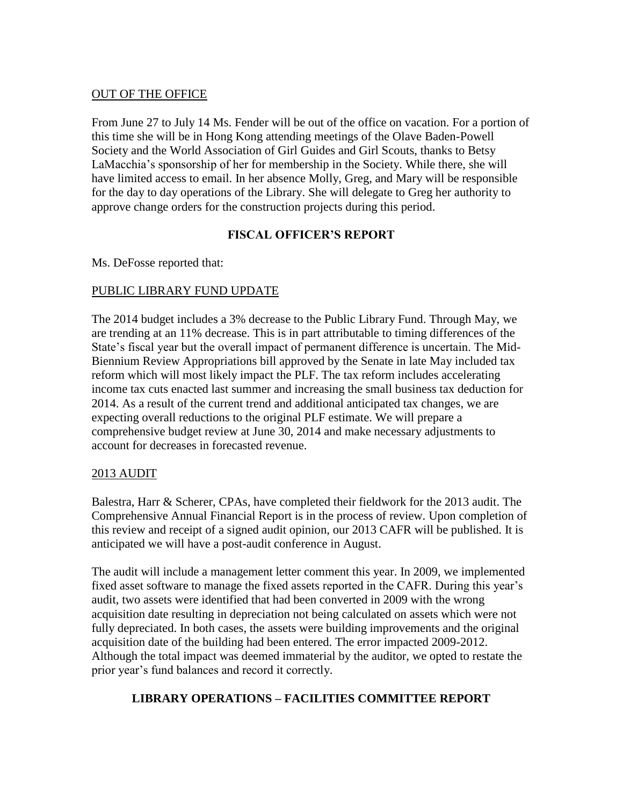#### OUT OF THE OFFICE

From June 27 to July 14 Ms. Fender will be out of the office on vacation. For a portion of this time she will be in Hong Kong attending meetings of the Olave Baden-Powell Society and the World Association of Girl Guides and Girl Scouts, thanks to Betsy LaMacchia's sponsorship of her for membership in the Society. While there, she will have limited access to email. In her absence Molly, Greg, and Mary will be responsible for the day to day operations of the Library. She will delegate to Greg her authority to approve change orders for the construction projects during this period.

### **FISCAL OFFICER'S REPORT**

Ms. DeFosse reported that:

### PUBLIC LIBRARY FUND UPDATE

The 2014 budget includes a 3% decrease to the Public Library Fund. Through May, we are trending at an 11% decrease. This is in part attributable to timing differences of the State's fiscal year but the overall impact of permanent difference is uncertain. The Mid-Biennium Review Appropriations bill approved by the Senate in late May included tax reform which will most likely impact the PLF. The tax reform includes accelerating income tax cuts enacted last summer and increasing the small business tax deduction for 2014. As a result of the current trend and additional anticipated tax changes, we are expecting overall reductions to the original PLF estimate. We will prepare a comprehensive budget review at June 30, 2014 and make necessary adjustments to account for decreases in forecasted revenue.

### 2013 AUDIT

Balestra, Harr & Scherer, CPAs, have completed their fieldwork for the 2013 audit. The Comprehensive Annual Financial Report is in the process of review. Upon completion of this review and receipt of a signed audit opinion, our 2013 CAFR will be published. It is anticipated we will have a post-audit conference in August.

The audit will include a management letter comment this year. In 2009, we implemented fixed asset software to manage the fixed assets reported in the CAFR. During this year's audit, two assets were identified that had been converted in 2009 with the wrong acquisition date resulting in depreciation not being calculated on assets which were not fully depreciated. In both cases, the assets were building improvements and the original acquisition date of the building had been entered. The error impacted 2009-2012. Although the total impact was deemed immaterial by the auditor, we opted to restate the prior year's fund balances and record it correctly.

### **LIBRARY OPERATIONS – FACILITIES COMMITTEE REPORT**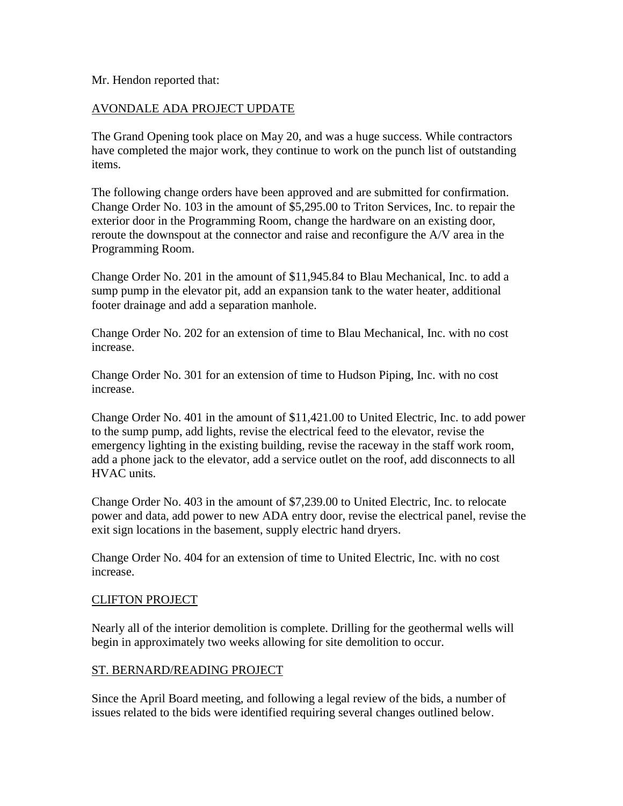Mr. Hendon reported that:

#### AVONDALE ADA PROJECT UPDATE

The Grand Opening took place on May 20, and was a huge success. While contractors have completed the major work, they continue to work on the punch list of outstanding items.

The following change orders have been approved and are submitted for confirmation. Change Order No. 103 in the amount of \$5,295.00 to Triton Services, Inc. to repair the exterior door in the Programming Room, change the hardware on an existing door, reroute the downspout at the connector and raise and reconfigure the A/V area in the Programming Room.

Change Order No. 201 in the amount of \$11,945.84 to Blau Mechanical, Inc. to add a sump pump in the elevator pit, add an expansion tank to the water heater, additional footer drainage and add a separation manhole.

Change Order No. 202 for an extension of time to Blau Mechanical, Inc. with no cost increase.

Change Order No. 301 for an extension of time to Hudson Piping, Inc. with no cost increase.

Change Order No. 401 in the amount of \$11,421.00 to United Electric, Inc. to add power to the sump pump, add lights, revise the electrical feed to the elevator, revise the emergency lighting in the existing building, revise the raceway in the staff work room, add a phone jack to the elevator, add a service outlet on the roof, add disconnects to all HVAC units.

Change Order No. 403 in the amount of \$7,239.00 to United Electric, Inc. to relocate power and data, add power to new ADA entry door, revise the electrical panel, revise the exit sign locations in the basement, supply electric hand dryers.

Change Order No. 404 for an extension of time to United Electric, Inc. with no cost increase.

#### CLIFTON PROJECT

Nearly all of the interior demolition is complete. Drilling for the geothermal wells will begin in approximately two weeks allowing for site demolition to occur.

#### ST. BERNARD/READING PROJECT

Since the April Board meeting, and following a legal review of the bids, a number of issues related to the bids were identified requiring several changes outlined below.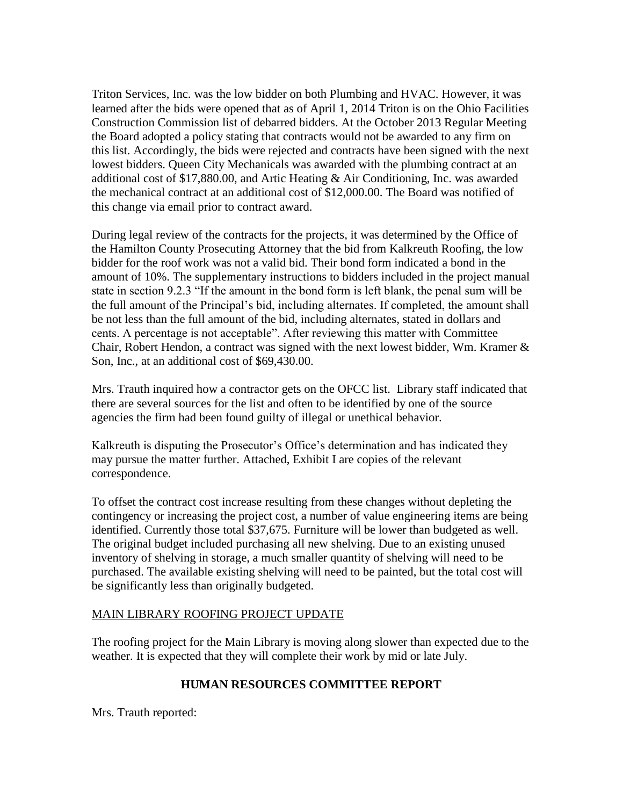Triton Services, Inc. was the low bidder on both Plumbing and HVAC. However, it was learned after the bids were opened that as of April 1, 2014 Triton is on the Ohio Facilities Construction Commission list of debarred bidders. At the October 2013 Regular Meeting the Board adopted a policy stating that contracts would not be awarded to any firm on this list. Accordingly, the bids were rejected and contracts have been signed with the next lowest bidders. Queen City Mechanicals was awarded with the plumbing contract at an additional cost of \$17,880.00, and Artic Heating & Air Conditioning, Inc. was awarded the mechanical contract at an additional cost of \$12,000.00. The Board was notified of this change via email prior to contract award.

During legal review of the contracts for the projects, it was determined by the Office of the Hamilton County Prosecuting Attorney that the bid from Kalkreuth Roofing, the low bidder for the roof work was not a valid bid. Their bond form indicated a bond in the amount of 10%. The supplementary instructions to bidders included in the project manual state in section 9.2.3 "If the amount in the bond form is left blank, the penal sum will be the full amount of the Principal's bid, including alternates. If completed, the amount shall be not less than the full amount of the bid, including alternates, stated in dollars and cents. A percentage is not acceptable". After reviewing this matter with Committee Chair, Robert Hendon, a contract was signed with the next lowest bidder, Wm. Kramer & Son, Inc., at an additional cost of \$69,430.00.

Mrs. Trauth inquired how a contractor gets on the OFCC list. Library staff indicated that there are several sources for the list and often to be identified by one of the source agencies the firm had been found guilty of illegal or unethical behavior.

Kalkreuth is disputing the Prosecutor's Office's determination and has indicated they may pursue the matter further. Attached, Exhibit I are copies of the relevant correspondence.

To offset the contract cost increase resulting from these changes without depleting the contingency or increasing the project cost, a number of value engineering items are being identified. Currently those total \$37,675. Furniture will be lower than budgeted as well. The original budget included purchasing all new shelving. Due to an existing unused inventory of shelving in storage, a much smaller quantity of shelving will need to be purchased. The available existing shelving will need to be painted, but the total cost will be significantly less than originally budgeted.

### MAIN LIBRARY ROOFING PROJECT UPDATE

The roofing project for the Main Library is moving along slower than expected due to the weather. It is expected that they will complete their work by mid or late July.

### **HUMAN RESOURCES COMMITTEE REPORT**

Mrs. Trauth reported: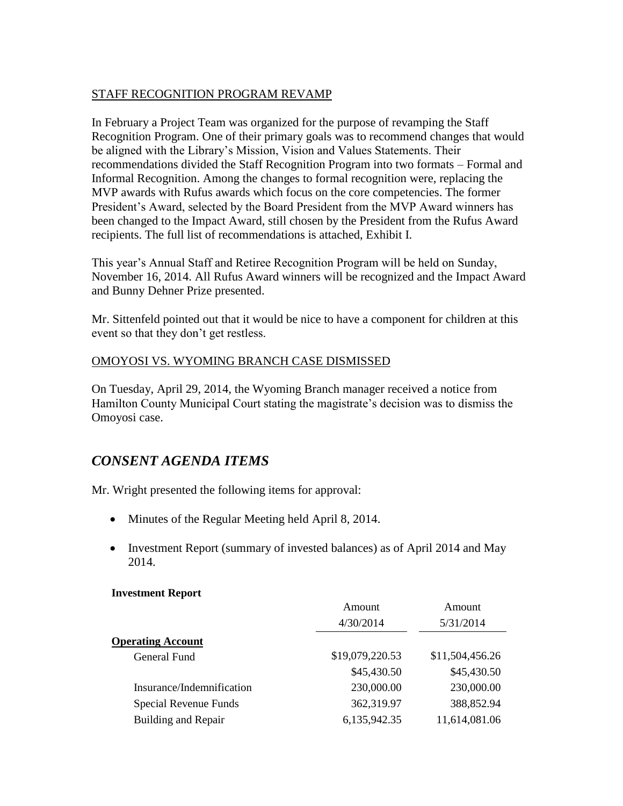#### STAFF RECOGNITION PROGRAM REVAMP

In February a Project Team was organized for the purpose of revamping the Staff Recognition Program. One of their primary goals was to recommend changes that would be aligned with the Library's Mission, Vision and Values Statements. Their recommendations divided the Staff Recognition Program into two formats – Formal and Informal Recognition. Among the changes to formal recognition were, replacing the MVP awards with Rufus awards which focus on the core competencies. The former President's Award, selected by the Board President from the MVP Award winners has been changed to the Impact Award, still chosen by the President from the Rufus Award recipients. The full list of recommendations is attached, Exhibit I.

This year's Annual Staff and Retiree Recognition Program will be held on Sunday, November 16, 2014. All Rufus Award winners will be recognized and the Impact Award and Bunny Dehner Prize presented.

Mr. Sittenfeld pointed out that it would be nice to have a component for children at this event so that they don't get restless.

### OMOYOSI VS. WYOMING BRANCH CASE DISMISSED

On Tuesday, April 29, 2014, the Wyoming Branch manager received a notice from Hamilton County Municipal Court stating the magistrate's decision was to dismiss the Omoyosi case.

# *CONSENT AGENDA ITEMS*

Mr. Wright presented the following items for approval:

- Minutes of the Regular Meeting held April 8, 2014.
- Investment Report (summary of invested balances) as of April 2014 and May 2014.

#### **Investment Report**

|                           | Amount          | Amount          |
|---------------------------|-----------------|-----------------|
|                           | 4/30/2014       | 5/31/2014       |
| <b>Operating Account</b>  |                 |                 |
| General Fund              | \$19,079,220.53 | \$11,504,456.26 |
|                           | \$45,430.50     | \$45,430.50     |
| Insurance/Indemnification | 230,000.00      | 230,000.00      |
| Special Revenue Funds     | 362,319.97      | 388,852.94      |
| Building and Repair       | 6,135,942.35    | 11,614,081.06   |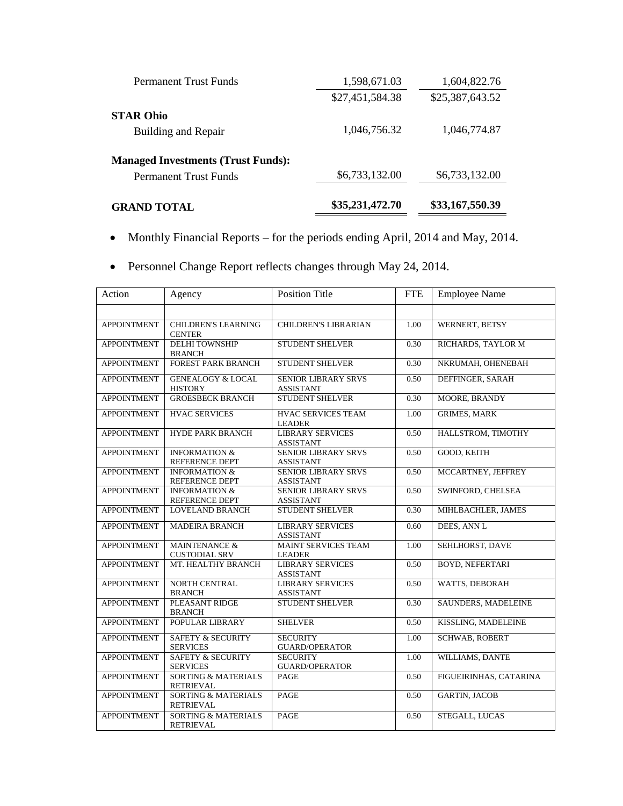| <b>Permanent Trust Funds</b>              | 1,598,671.03    | 1,604,822.76    |
|-------------------------------------------|-----------------|-----------------|
|                                           | \$27,451,584.38 | \$25,387,643.52 |
| <b>STAR Ohio</b>                          |                 |                 |
| Building and Repair                       | 1,046,756.32    | 1,046,774.87    |
| <b>Managed Investments (Trust Funds):</b> |                 |                 |
| Permanent Trust Funds                     | \$6,733,132.00  | \$6,733,132.00  |
| <b>GRAND TOTAL</b>                        | \$35,231,472.70 | \$33,167,550.39 |

- Monthly Financial Reports for the periods ending April, 2014 and May, 2014.
- Personnel Change Report reflects changes through May 24, 2014.

| Action             | Agency                                             | <b>Position Title</b>                          | <b>FTE</b> | <b>Employee Name</b>   |
|--------------------|----------------------------------------------------|------------------------------------------------|------------|------------------------|
|                    |                                                    |                                                |            |                        |
| <b>APPOINTMENT</b> | <b>CHILDREN'S LEARNING</b><br><b>CENTER</b>        | <b>CHILDREN'S LIBRARIAN</b>                    | 1.00       | WERNERT, BETSY         |
| <b>APPOINTMENT</b> | <b>DELHI TOWNSHIP</b><br><b>BRANCH</b>             | <b>STUDENT SHELVER</b>                         | 0.30       | RICHARDS, TAYLOR M     |
| <b>APPOINTMENT</b> | <b>FOREST PARK BRANCH</b>                          | <b>STUDENT SHELVER</b>                         | 0.30       | NKRUMAH, OHENEBAH      |
| <b>APPOINTMENT</b> | <b>GENEALOGY &amp; LOCAL</b><br><b>HISTORY</b>     | <b>SENIOR LIBRARY SRVS</b><br><b>ASSISTANT</b> | 0.50       | DEFFINGER, SARAH       |
| <b>APPOINTMENT</b> | <b>GROESBECK BRANCH</b>                            | <b>STUDENT SHELVER</b>                         | 0.30       | MOORE, BRANDY          |
| <b>APPOINTMENT</b> | <b>HVAC SERVICES</b>                               | <b>HVAC SERVICES TEAM</b><br><b>LEADER</b>     | 1.00       | <b>GRIMES, MARK</b>    |
| <b>APPOINTMENT</b> | <b>HYDE PARK BRANCH</b>                            | <b>LIBRARY SERVICES</b><br><b>ASSISTANT</b>    | 0.50       | HALLSTROM, TIMOTHY     |
| <b>APPOINTMENT</b> | <b>INFORMATION &amp;</b><br>REFERENCE DEPT         | <b>SENIOR LIBRARY SRVS</b><br><b>ASSISTANT</b> | 0.50       | GOOD, KEITH            |
| <b>APPOINTMENT</b> | <b>INFORMATION &amp;</b><br>REFERENCE DEPT         | <b>SENIOR LIBRARY SRVS</b><br><b>ASSISTANT</b> | 0.50       | MCCARTNEY, JEFFREY     |
| <b>APPOINTMENT</b> | <b>INFORMATION &amp;</b><br>REFERENCE DEPT         | <b>SENIOR LIBRARY SRVS</b><br><b>ASSISTANT</b> | 0.50       | SWINFORD, CHELSEA      |
| <b>APPOINTMENT</b> | <b>LOVELAND BRANCH</b>                             | <b>STUDENT SHELVER</b>                         | 0.30       | MIHLBACHLER, JAMES     |
| <b>APPOINTMENT</b> | <b>MADEIRA BRANCH</b>                              | <b>LIBRARY SERVICES</b><br><b>ASSISTANT</b>    | 0.60       | DEES, ANN L            |
| <b>APPOINTMENT</b> | <b>MAINTENANCE &amp;</b><br><b>CUSTODIAL SRV</b>   | <b>MAINT SERVICES TEAM</b><br><b>LEADER</b>    | 1.00       | SEHLHORST, DAVE        |
| <b>APPOINTMENT</b> | MT. HEALTHY BRANCH                                 | <b>LIBRARY SERVICES</b><br><b>ASSISTANT</b>    | 0.50       | <b>BOYD, NEFERTARI</b> |
| <b>APPOINTMENT</b> | <b>NORTH CENTRAL</b><br><b>BRANCH</b>              | <b>LIBRARY SERVICES</b><br><b>ASSISTANT</b>    | 0.50       | WATTS, DEBORAH         |
| <b>APPOINTMENT</b> | PLEASANT RIDGE<br><b>BRANCH</b>                    | <b>STUDENT SHELVER</b>                         | 0.30       | SAUNDERS, MADELEINE    |
| <b>APPOINTMENT</b> | POPULAR LIBRARY                                    | <b>SHELVER</b>                                 | 0.50       | KISSLING, MADELEINE    |
| <b>APPOINTMENT</b> | <b>SAFETY &amp; SECURITY</b><br><b>SERVICES</b>    | <b>SECURITY</b><br><b>GUARD/OPERATOR</b>       | 1.00       | <b>SCHWAB, ROBERT</b>  |
| <b>APPOINTMENT</b> | <b>SAFETY &amp; SECURITY</b><br><b>SERVICES</b>    | <b>SECURITY</b><br><b>GUARD/OPERATOR</b>       | 1.00       | WILLIAMS, DANTE        |
| <b>APPOINTMENT</b> | <b>SORTING &amp; MATERIALS</b><br><b>RETRIEVAL</b> | <b>PAGE</b>                                    | 0.50       | FIGUEIRINHAS, CATARINA |
| <b>APPOINTMENT</b> | <b>SORTING &amp; MATERIALS</b><br><b>RETRIEVAL</b> | PAGE                                           | 0.50       | <b>GARTIN, JACOB</b>   |
| <b>APPOINTMENT</b> | <b>SORTING &amp; MATERIALS</b><br><b>RETRIEVAL</b> | <b>PAGE</b>                                    | 0.50       | STEGALL, LUCAS         |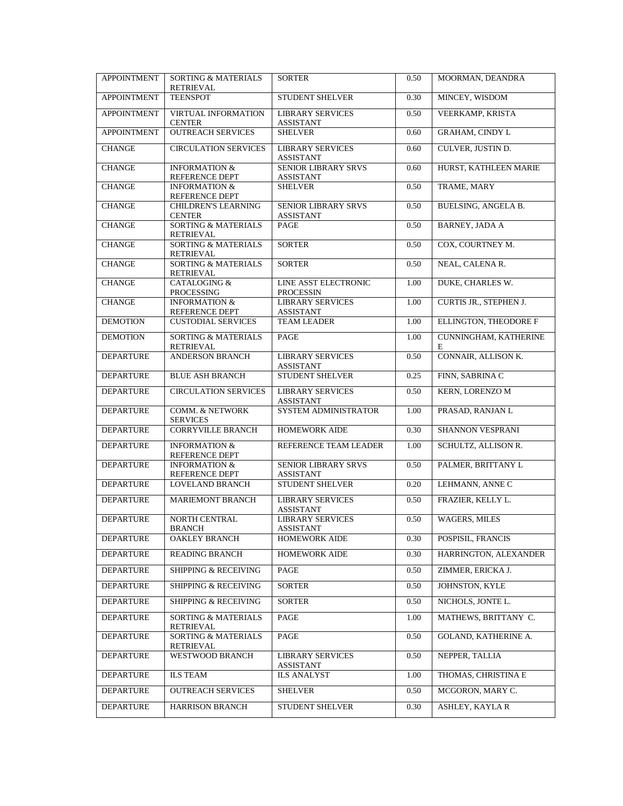| <b>APPOINTMENT</b> | <b>SORTING &amp; MATERIALS</b>                     | <b>SORTER</b>                                   | 0.50 | MOORMAN, DEANDRA            |
|--------------------|----------------------------------------------------|-------------------------------------------------|------|-----------------------------|
| <b>APPOINTMENT</b> | RETRIEVAL<br><b>TEENSPOT</b>                       | <b>STUDENT SHELVER</b>                          | 0.30 | MINCEY, WISDOM              |
|                    |                                                    |                                                 |      |                             |
| <b>APPOINTMENT</b> | <b>VIRTUAL INFORMATION</b><br><b>CENTER</b>        | <b>LIBRARY SERVICES</b><br><b>ASSISTANT</b>     | 0.50 | VEERKAMP, KRISTA            |
| <b>APPOINTMENT</b> | <b>OUTREACH SERVICES</b>                           | <b>SHELVER</b>                                  | 0.60 | <b>GRAHAM, CINDY L</b>      |
| <b>CHANGE</b>      | <b>CIRCULATION SERVICES</b>                        | <b>LIBRARY SERVICES</b><br><b>ASSISTANT</b>     | 0.60 | CULVER, JUSTIN D.           |
| <b>CHANGE</b>      | <b>INFORMATION &amp;</b><br>REFERENCE DEPT         | <b>SENIOR LIBRARY SRVS</b><br><b>ASSISTANT</b>  | 0.60 | HURST, KATHLEEN MARIE       |
| <b>CHANGE</b>      | <b>INFORMATION &amp;</b><br>REFERENCE DEPT         | <b>SHELVER</b>                                  | 0.50 | TRAME, MARY                 |
| <b>CHANGE</b>      | <b>CHILDREN'S LEARNING</b><br><b>CENTER</b>        | <b>SENIOR LIBRARY SRVS</b><br><b>ASSISTANT</b>  | 0.50 | BUELSING, ANGELA B.         |
| <b>CHANGE</b>      | <b>SORTING &amp; MATERIALS</b><br>RETRIEVAL        | PAGE                                            | 0.50 | <b>BARNEY, JADA A</b>       |
| <b>CHANGE</b>      | <b>SORTING &amp; MATERIALS</b><br>RETRIEVAL        | <b>SORTER</b>                                   | 0.50 | COX, COURTNEY M.            |
| <b>CHANGE</b>      | <b>SORTING &amp; MATERIALS</b><br><b>RETRIEVAL</b> | <b>SORTER</b>                                   | 0.50 | NEAL, CALENAR.              |
| <b>CHANGE</b>      | <b>CATALOGING &amp;</b><br>PROCESSING              | <b>LINE ASST ELECTRONIC</b><br><b>PROCESSIN</b> | 1.00 | DUKE, CHARLES W.            |
| <b>CHANGE</b>      | <b>INFORMATION &amp;</b><br>REFERENCE DEPT         | <b>LIBRARY SERVICES</b><br><b>ASSISTANT</b>     | 1.00 | CURTIS JR., STEPHEN J.      |
| <b>DEMOTION</b>    | <b>CUSTODIAL SERVICES</b>                          | <b>TEAM LEADER</b>                              | 1.00 | ELLINGTON, THEODORE F       |
| <b>DEMOTION</b>    | <b>SORTING &amp; MATERIALS</b><br><b>RETRIEVAL</b> | PAGE                                            | 1.00 | CUNNINGHAM, KATHERINE<br>E  |
| <b>DEPARTURE</b>   | <b>ANDERSON BRANCH</b>                             | <b>LIBRARY SERVICES</b><br><b>ASSISTANT</b>     | 0.50 | CONNAIR, ALLISON K.         |
| <b>DEPARTURE</b>   | <b>BLUE ASH BRANCH</b>                             | <b>STUDENT SHELVER</b>                          | 0.25 | FINN, SABRINA C             |
| <b>DEPARTURE</b>   | <b>CIRCULATION SERVICES</b>                        | <b>LIBRARY SERVICES</b><br><b>ASSISTANT</b>     | 0.50 | KERN, LORENZO M             |
| <b>DEPARTURE</b>   | <b>COMM. &amp; NETWORK</b><br><b>SERVICES</b>      | SYSTEM ADMINISTRATOR                            | 1.00 | PRASAD, RANJAN L            |
| <b>DEPARTURE</b>   | <b>CORRYVILLE BRANCH</b>                           | <b>HOMEWORK AIDE</b>                            | 0.30 | SHANNON VESPRANI            |
| <b>DEPARTURE</b>   | <b>INFORMATION &amp;</b><br>REFERENCE DEPT         | REFERENCE TEAM LEADER                           | 1.00 | SCHULTZ, ALLISON R.         |
| <b>DEPARTURE</b>   | <b>INFORMATION &amp;</b><br>REFERENCE DEPT         | <b>SENIOR LIBRARY SRVS</b><br><b>ASSISTANT</b>  | 0.50 | PALMER, BRITTANY L          |
| <b>DEPARTURE</b>   | <b>LOVELAND BRANCH</b>                             | <b>STUDENT SHELVER</b>                          | 0.20 | LEHMANN, ANNE C             |
| <b>DEPARTURE</b>   | <b>MARIEMONT BRANCH</b>                            | <b>LIBRARY SERVICES</b><br><b>ASSISTANT</b>     | 0.50 | FRAZIER, KELLY L.           |
| <b>DEPARTURE</b>   | NORTH CENTRAL<br>BRANCH                            | <b>LIBRARY SERVICES</b><br>ASSISTANT            | 0.50 | WAGERS, MILES               |
| <b>DEPARTURE</b>   | <b>OAKLEY BRANCH</b>                               | <b>HOMEWORK AIDE</b>                            | 0.30 | POSPISIL, FRANCIS           |
| <b>DEPARTURE</b>   | <b>READING BRANCH</b>                              | <b>HOMEWORK AIDE</b>                            | 0.30 | HARRINGTON, ALEXANDER       |
| <b>DEPARTURE</b>   | <b>SHIPPING &amp; RECEIVING</b>                    | PAGE                                            | 0.50 | ZIMMER, ERICKA J.           |
| <b>DEPARTURE</b>   | <b>SHIPPING &amp; RECEIVING</b>                    | <b>SORTER</b>                                   | 0.50 | JOHNSTON, KYLE              |
| <b>DEPARTURE</b>   | <b>SHIPPING &amp; RECEIVING</b>                    | <b>SORTER</b>                                   | 0.50 | NICHOLS, JONTE L.           |
| <b>DEPARTURE</b>   | <b>SORTING &amp; MATERIALS</b><br>RETRIEVAL        | PAGE                                            | 1.00 | MATHEWS, BRITTANY C.        |
| <b>DEPARTURE</b>   | SORTING & MATERIALS<br><b>RETRIEVAL</b>            | PAGE                                            | 0.50 | <b>GOLAND, KATHERINE A.</b> |
| <b>DEPARTURE</b>   | WESTWOOD BRANCH                                    | <b>LIBRARY SERVICES</b><br><b>ASSISTANT</b>     | 0.50 | NEPPER, TALLIA              |
| <b>DEPARTURE</b>   | <b>ILS TEAM</b>                                    | <b>ILS ANALYST</b>                              | 1.00 | THOMAS, CHRISTINA E         |
| <b>DEPARTURE</b>   | <b>OUTREACH SERVICES</b>                           | <b>SHELVER</b>                                  | 0.50 | MCGORON, MARY C.            |
| <b>DEPARTURE</b>   | HARRISON BRANCH                                    | STUDENT SHELVER                                 | 0.30 | ASHLEY, KAYLA R             |